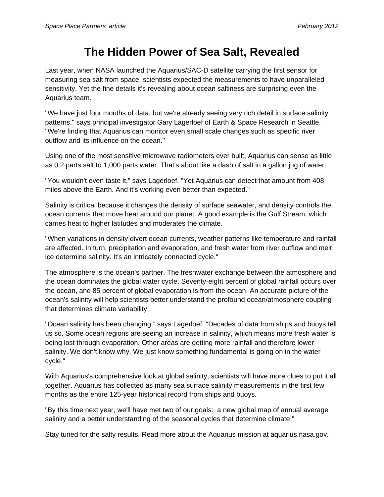## **The Hidden Power of Sea Salt, Revealed**

Last year, when NASA launched the Aquarius/SAC-D satellite carrying the first sensor for measuring sea salt from space, scientists expected the measurements to have unparalleled sensitivity. Yet the fine details it's revealing about ocean saltiness are surprising even the Aquarius team.

"We have just four months of data, but we're already seeing very rich detail in surface salinity patterns," says principal investigator Gary Lagerloef of Earth & Space Research in Seattle. "We're finding that Aquarius can monitor even small scale changes such as specific river outflow and its influence on the ocean."

Using one of the most sensitive microwave radiometers ever built, Aquarius can sense as little as 0.2 parts salt to 1,000 parts water. That's about like a dash of salt in a gallon jug of water.

"You wouldn't even taste it," says Lagerloef. "Yet Aquarius can detect that amount from 408 miles above the Earth. And it's working even better than expected."

Salinity is critical because it changes the density of surface seawater, and density controls the ocean currents that move heat around our planet. A good example is the Gulf Stream, which carries heat to higher latitudes and moderates the climate.

"When variations in density divert ocean currents, weather patterns like temperature and rainfall are affected. In turn, precipitation and evaporation, and fresh water from river outflow and melt ice determine salinity. It's an intricately connected cycle."

The atmosphere is the ocean's partner. The freshwater exchange between the atmosphere and the ocean dominates the global water cycle. Seventy-eight percent of global rainfall occurs over the ocean, and 85 percent of global evaporation is from the ocean. An accurate picture of the ocean's salinity will help scientists better understand the profound ocean/atmosphere coupling that determines climate variability.

"Ocean salinity has been changing," says Lagerloef. "Decades of data from ships and buoys tell us so. Some ocean regions are seeing an increase in salinity, which means more fresh water is being lost through evaporation. Other areas are getting more rainfall and therefore lower salinity. We don't know why. We just know something fundamental is going on in the water cycle."

With Aquarius's comprehensive look at global salinity, scientists will have more clues to put it all together. Aquarius has collected as many sea surface salinity measurements in the first few months as the entire 125-year historical record from ships and buoys.

"By this time next year, we'll have met two of our goals: a new global map of annual average salinity and a better understanding of the seasonal cycles that determine climate."

Stay tuned for the salty results. Read more about the Aquarius mission at aquarius.nasa.gov.